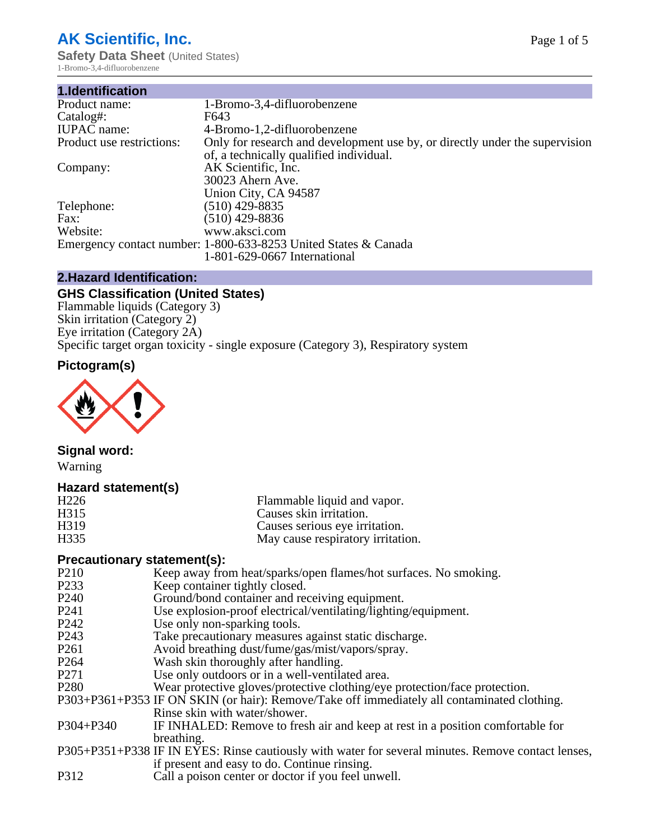## **AK Scientific, Inc.**

**Safety Data Sheet** (United States) 1-Bromo-3,4-difluorobenzene

| 1.Identification          |                                                                             |
|---------------------------|-----------------------------------------------------------------------------|
| Product name:             | 1-Bromo-3,4-difluorobenzene                                                 |
| Catalog#:                 | F643                                                                        |
| <b>IUPAC</b> name:        | 4-Bromo-1,2-difluorobenzene                                                 |
| Product use restrictions: | Only for research and development use by, or directly under the supervision |
|                           | of, a technically qualified individual.                                     |
| Company:                  | AK Scientific, Inc.                                                         |
|                           | 30023 Ahern Ave.                                                            |
|                           | Union City, CA 94587                                                        |
| Telephone:                | $(510)$ 429-8835                                                            |
| Fax:                      | $(510)$ 429-8836                                                            |
| Website:                  | www.aksci.com                                                               |
|                           | Emergency contact number: 1-800-633-8253 United States & Canada             |
|                           | 1-801-629-0667 International                                                |

### **2.Hazard Identification:**

## **GHS Classification (United States)**

Flammable liquids (Category 3) Skin irritation (Category 2) Eye irritation (Category 2A) Specific target organ toxicity - single exposure (Category 3), Respiratory system

## **Pictogram(s)**



## **Signal word:**

Warning

## **Hazard statement(s)**

| H <sub>226</sub>  | Flammable liquid and vapor.       |
|-------------------|-----------------------------------|
| H315              | Causes skin irritation.           |
| H <sub>3</sub> 19 | Causes serious eye irritation.    |
| H <sub>335</sub>  | May cause respiratory irritation. |

#### **Precautionary statement(s):**

- P210 Keep away from heat/sparks/open flames/hot surfaces. No smoking.<br>P233 Keep container tightly closed
- P233 Keep container tightly closed.<br>P240 Ground/bond container and re
- Ground/bond container and receiving equipment.
- P241 Use explosion-proof electrical/ventilating/lighting/equipment.<br>P242 Use only non-sparking tools.
- P242 Use only non-sparking tools.<br>P243 Take precautionary measures
- P243 Take precautionary measures against static discharge.<br>P261 Avoid breathing dust/fume/gas/mist/vapors/sprav.
- Avoid breathing dust/fume/gas/mist/vapors/spray.
- P264 Wash skin thoroughly after handling.
- P271 Use only outdoors or in a well-ventilated area.
- P280 Wear protective gloves/protective clothing/eye protection/face protection.
- P303+P361+P353 IF ON SKIN (or hair): Remove/Take off immediately all contaminated clothing. Rinse skin with water/shower.
- P304+P340 IF INHALED: Remove to fresh air and keep at rest in a position comfortable for breathing.
- P305+P351+P338 IF IN EYES: Rinse cautiously with water for several minutes. Remove contact lenses, if present and easy to do. Continue rinsing.
- P312 Call a poison center or doctor if you feel unwell.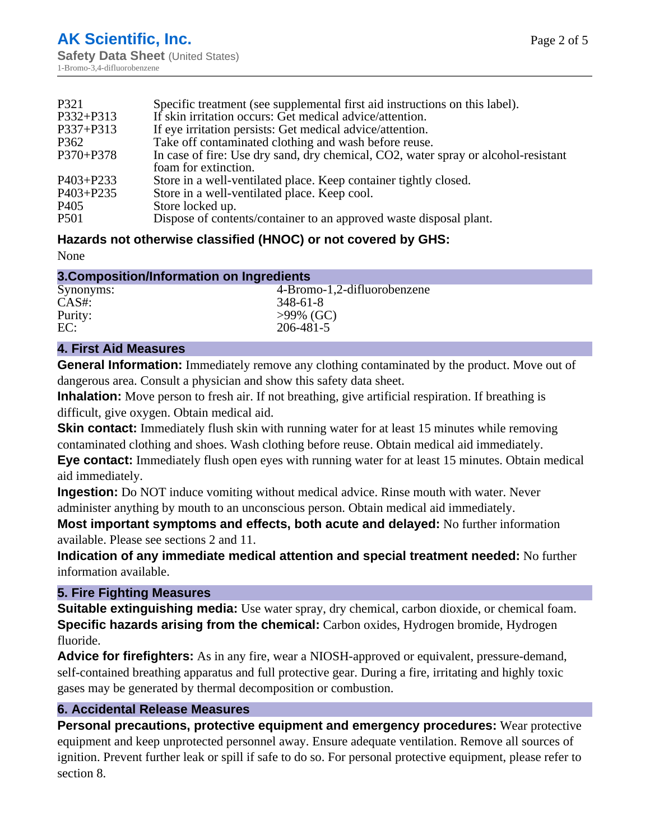| P321             | Specific treatment (see supplemental first aid instructions on this label).        |
|------------------|------------------------------------------------------------------------------------|
| P332+P313        | If skin irritation occurs: Get medical advice/attention.                           |
| P337+P313        | If eye irritation persists: Get medical advice/attention.                          |
| P362             | Take off contaminated clothing and wash before reuse.                              |
| P370+P378        | In case of fire: Use dry sand, dry chemical, CO2, water spray or alcohol-resistant |
|                  | foam for extinction.                                                               |
| P403+P233        | Store in a well-ventilated place. Keep container tightly closed.                   |
| P403+P235        | Store in a well-ventilated place. Keep cool.                                       |
| P <sub>405</sub> | Store locked up.                                                                   |
| P <sub>501</sub> | Dispose of contents/container to an approved waste disposal plant.                 |

## **Hazards not otherwise classified (HNOC) or not covered by GHS:**

None

| 3. Composition/Information on Ingredients |                             |
|-------------------------------------------|-----------------------------|
| Synonyms:                                 | 4-Bromo-1,2-difluorobenzene |
| $CAS#$ :                                  | $348 - 61 - 8$              |
| Purity:                                   | $>99\%$ (GC)                |
| EC:                                       | 206-481-5                   |

## **4. First Aid Measures**

**General Information:** Immediately remove any clothing contaminated by the product. Move out of dangerous area. Consult a physician and show this safety data sheet.

**Inhalation:** Move person to fresh air. If not breathing, give artificial respiration. If breathing is difficult, give oxygen. Obtain medical aid.

**Skin contact:** Immediately flush skin with running water for at least 15 minutes while removing contaminated clothing and shoes. Wash clothing before reuse. Obtain medical aid immediately.

**Eye contact:** Immediately flush open eyes with running water for at least 15 minutes. Obtain medical aid immediately.

**Ingestion:** Do NOT induce vomiting without medical advice. Rinse mouth with water. Never administer anything by mouth to an unconscious person. Obtain medical aid immediately.

**Most important symptoms and effects, both acute and delayed:** No further information available. Please see sections 2 and 11.

**Indication of any immediate medical attention and special treatment needed:** No further information available.

## **5. Fire Fighting Measures**

**Suitable extinguishing media:** Use water spray, dry chemical, carbon dioxide, or chemical foam. **Specific hazards arising from the chemical:** Carbon oxides, Hydrogen bromide, Hydrogen fluoride.

**Advice for firefighters:** As in any fire, wear a NIOSH-approved or equivalent, pressure-demand, self-contained breathing apparatus and full protective gear. During a fire, irritating and highly toxic gases may be generated by thermal decomposition or combustion.

## **6. Accidental Release Measures**

**Personal precautions, protective equipment and emergency procedures:** Wear protective equipment and keep unprotected personnel away. Ensure adequate ventilation. Remove all sources of ignition. Prevent further leak or spill if safe to do so. For personal protective equipment, please refer to section 8.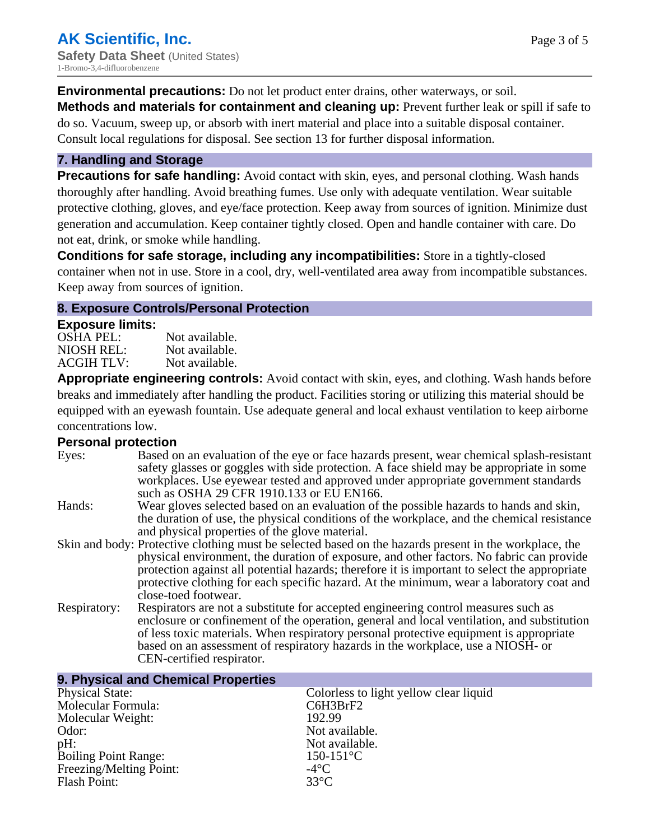**Environmental precautions:** Do not let product enter drains, other waterways, or soil. **Methods and materials for containment and cleaning up:** Prevent further leak or spill if safe to do so. Vacuum, sweep up, or absorb with inert material and place into a suitable disposal container.

Consult local regulations for disposal. See section 13 for further disposal information.

## **7. Handling and Storage**

**Precautions for safe handling:** Avoid contact with skin, eyes, and personal clothing. Wash hands thoroughly after handling. Avoid breathing fumes. Use only with adequate ventilation. Wear suitable protective clothing, gloves, and eye/face protection. Keep away from sources of ignition. Minimize dust generation and accumulation. Keep container tightly closed. Open and handle container with care. Do not eat, drink, or smoke while handling.

**Conditions for safe storage, including any incompatibilities:** Store in a tightly-closed container when not in use. Store in a cool, dry, well-ventilated area away from incompatible substances. Keep away from sources of ignition.

#### **8. Exposure Controls/Personal Protection**

#### **Exposure limits:**

| _______<br><b>OSHA PEL:</b> | Not available. |
|-----------------------------|----------------|
| NIOSH REL:                  | Not available. |
| <b>ACGIH TLV:</b>           | Not available. |

**Appropriate engineering controls:** Avoid contact with skin, eyes, and clothing. Wash hands before breaks and immediately after handling the product. Facilities storing or utilizing this material should be equipped with an eyewash fountain. Use adequate general and local exhaust ventilation to keep airborne concentrations low.

#### **Personal protection**

| Eyes:        | Based on an evaluation of the eye or face hazards present, wear chemical splash-resistant<br>safety glasses or goggles with side protection. A face shield may be appropriate in some<br>workplaces. Use eyewear tested and approved under appropriate government standards<br>such as OSHA 29 CFR 1910.133 or EU EN166.                                                                                                |
|--------------|-------------------------------------------------------------------------------------------------------------------------------------------------------------------------------------------------------------------------------------------------------------------------------------------------------------------------------------------------------------------------------------------------------------------------|
| Hands:       | Wear gloves selected based on an evaluation of the possible hazards to hands and skin,<br>the duration of use, the physical conditions of the workplace, and the chemical resistance<br>and physical properties of the glove material.                                                                                                                                                                                  |
|              | Skin and body: Protective clothing must be selected based on the hazards present in the workplace, the<br>physical environment, the duration of exposure, and other factors. No fabric can provide<br>protection against all potential hazards; therefore it is important to select the appropriate<br>protective clothing for each specific hazard. At the minimum, wear a laboratory coat and<br>close-toed footwear. |
| Respiratory: | Respirators are not a substitute for accepted engineering control measures such as<br>enclosure or confinement of the operation, general and local ventilation, and substitution<br>of less toxic materials. When respiratory personal protective equipment is appropriate<br>based on an assessment of respiratory hazards in the workplace, use a NIOSH- or<br>CEN-certified respirator.                              |

| 9. Physical and Chemical Properties |                                        |  |
|-------------------------------------|----------------------------------------|--|
| <b>Physical State:</b>              | Colorless to light yellow clear liquid |  |
| Molecular Formula:                  | C6H3BrF2                               |  |
| Molecular Weight:                   | 192.99                                 |  |
| Odor:                               | Not available.                         |  |
| $pH$ :                              | Not available.                         |  |
| <b>Boiling Point Range:</b>         | $150 - 151$ °C                         |  |
| Freezing/Melting Point:             | $-4$ °C                                |  |
| <b>Flash Point:</b>                 | $33^{\circ}$ C                         |  |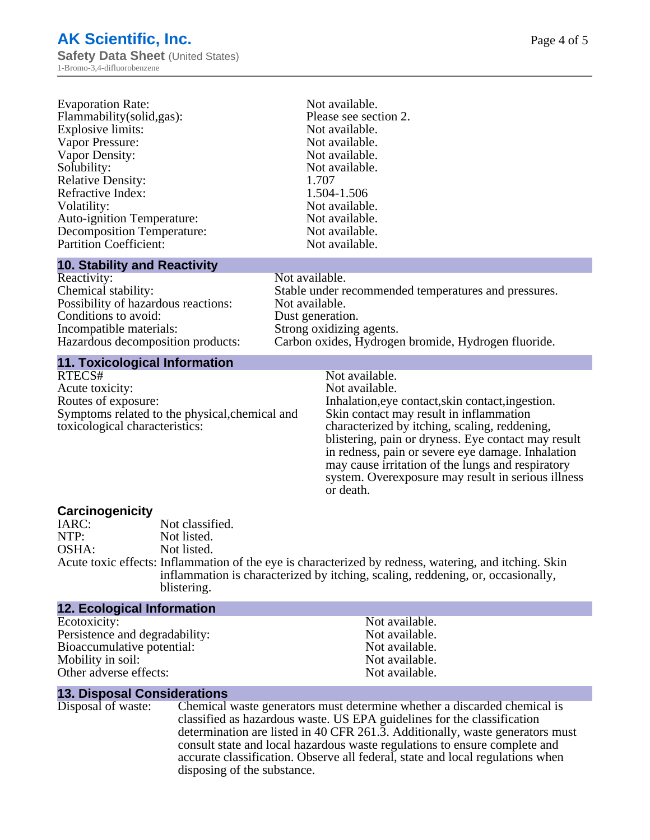| <b>Evaporation Rate:</b>                                                                                                                                                                                                                                                                                                                                                             | Not available.        |
|--------------------------------------------------------------------------------------------------------------------------------------------------------------------------------------------------------------------------------------------------------------------------------------------------------------------------------------------------------------------------------------|-----------------------|
| Flammability (solid, gas):                                                                                                                                                                                                                                                                                                                                                           | Please see section 2. |
| Explosive limits:                                                                                                                                                                                                                                                                                                                                                                    | Not available.        |
| Vapor Pressure:                                                                                                                                                                                                                                                                                                                                                                      | Not available.        |
| Vapor Density:                                                                                                                                                                                                                                                                                                                                                                       | Not available.        |
| Solubility:                                                                                                                                                                                                                                                                                                                                                                          | Not available.        |
| <b>Relative Density:</b>                                                                                                                                                                                                                                                                                                                                                             | 1.707                 |
| Refractive Index:                                                                                                                                                                                                                                                                                                                                                                    | 1.504-1.506           |
| Volatility:                                                                                                                                                                                                                                                                                                                                                                          | Not available.        |
| <b>Auto-ignition Temperature:</b>                                                                                                                                                                                                                                                                                                                                                    | Not available.        |
| <b>Decomposition Temperature:</b>                                                                                                                                                                                                                                                                                                                                                    | Not available.        |
| <b>Partition Coefficient:</b>                                                                                                                                                                                                                                                                                                                                                        | Not available.        |
| $\overline{10}$ $\overline{0}$ $\overline{1}$ $\overline{1}$ $\overline{1}$ $\overline{1}$ $\overline{1}$ $\overline{1}$ $\overline{1}$ $\overline{1}$ $\overline{1}$ $\overline{1}$ $\overline{1}$ $\overline{1}$ $\overline{1}$ $\overline{1}$ $\overline{1}$ $\overline{1}$ $\overline{1}$ $\overline{1}$ $\overline{1}$ $\overline{1}$ $\overline{1}$ $\overline{1}$ $\overline$ |                       |

Not available.

Not available. Dust generation.

#### **10. Stability and Reactivity**

| Reacuvity:                          |
|-------------------------------------|
| Chemical stability:                 |
| Possibility of hazardous reactions: |
| Conditions to avoid:                |
| Incompatible materials:             |
| Hazardous decomposition products:   |
|                                     |

#### **11. Toxicological Information**

| RTECS#                                         |
|------------------------------------------------|
| Acute toxicity:                                |
| Routes of exposure:                            |
| Symptoms related to the physical, chemical and |
| toxicological characteristics:                 |

# Carbon oxides, Hydrogen bromide, Hydrogen fluoride. Not available.

Strong oxidizing agents.

Not available. Inhalation,eye contact, skin contact, ingestion. Skin contact may result in inflammation characterized by itching, scaling, reddening, blistering, pain or dryness. Eye contact may result in redness, pain or severe eye damage. Inhalation may cause irritation of the lungs and respiratory system. Overexposure may result in serious illness or death.

Stable under recommended temperatures and pressures.

# **Carcinogenicity**

IARC: Not classified.<br>
NOTP: Not listed. NTP:<br>
OSHA: Not listed.<br>
Not listed. Not listed.

Acute toxic effects: Inflammation of the eye is characterized by redness, watering, and itching. Skin inflammation is characterized by itching, scaling, reddening, or, occasionally, blistering.

| 12. Ecological Information     |                |  |
|--------------------------------|----------------|--|
| Ecotoxicity:                   | Not available. |  |
| Persistence and degradability: | Not available. |  |
| Bioaccumulative potential:     | Not available. |  |
| Mobility in soil:              | Not available. |  |
| Other adverse effects:         | Not available. |  |

#### **13. Disposal Considerations**

Disposal of waste: Chemical waste generators must determine whether a discarded chemical is classified as hazardous waste. US EPA guidelines for the classification determination are listed in 40 CFR 261.3. Additionally, waste generators must consult state and local hazardous waste regulations to ensure complete and accurate classification. Observe all federal, state and local regulations when disposing of the substance.